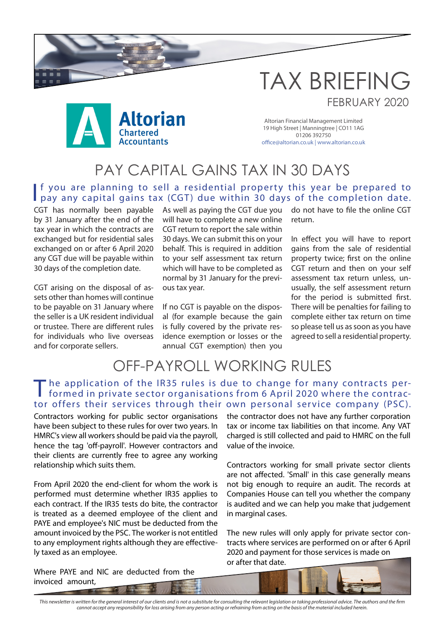

Altorian Financial Management Limited 19 High Street | Manningtree | CO11 1AG 01206 392750 office@altorian.co.uk | www.altorian.co.uk

TAX BRIEFING

FEBRUARY 2020

#### PAY CAPITAL GAINS TAX IN 30 DAYS

If you are planning to sell a residential property this year be prepared to pay any capital gains tax (CGT) due within 30 days of the completion date. f you are planning to sell a residential property this year be prepared to

CGT has normally been payable by 31 January after the end of the tax year in which the contracts are exchanged but for residential sales exchanged on or after 6 April 2020 any CGT due will be payable within 30 days of the completion date.

CGT arising on the disposal of assets other than homes will continue to be payable on 31 January where the seller is a UK resident individual or trustee. There are different rules for individuals who live overseas and for corporate sellers.

As well as paying the CGT due you will have to complete a new online CGT return to report the sale within 30 days. We can submit this on your behalf. This is required in addition to your self assessment tax return which will have to be completed as normal by 31 January for the previous tax year.

If no CGT is payable on the disposal (for example because the gain is fully covered by the private residence exemption or losses or the annual CGT exemption) then you do not have to file the online CGT return.

In effect you will have to report gains from the sale of residential property twice; first on the online CGT return and then on your self assessment tax return unless, unusually, the self assessment return for the period is submitted first. There will be penalties for failing to complete either tax return on time so please tell us as soon as you have agreed to sell a residential property.

# OFF-PAYROLL WORKING RULES

#### The application of the IR35 rules is due to change for many contracts performed in private sector organisations from 6 April 2020 where the contractor offers their services through their own personal service company (PSC).

Contractors working for public sector organisations have been subject to these rules for over two years. In HMRC's view all workers should be paid via the payroll, hence the tag 'off-payroll'. However contractors and their clients are currently free to agree any working relationship which suits them.

From April 2020 the end-client for whom the work is performed must determine whether IR35 applies to each contract. If the IR35 tests do bite, the contractor is treated as a deemed employee of the client and PAYE and employee's NIC must be deducted from the amount invoiced by the PSC. The worker is not entitled to any employment rights although they are effectively taxed as an employee.

the contractor does not have any further corporation tax or income tax liabilities on that income. Any VAT charged is still collected and paid to HMRC on the full value of the invoice.

Contractors working for small private sector clients are not affected. 'Small' in this case generally means not big enough to require an audit. The records at Companies House can tell you whether the company is audited and we can help you make that judgement in marginal cases.

The new rules will only apply for private sector contracts where services are performed on or after 6 April 2020 and payment for those services is made on or after that date.

Where PAYE and NIC are deducted from the invoiced amount,

This newsletter is written for the general interest of our clients and is not a substitute for consulting the relevant legislation or taking professional advice. The authors and the firm *cannot accept any responsibility for loss arising from any person acting or refraining from acting on the basis of the material included herein.*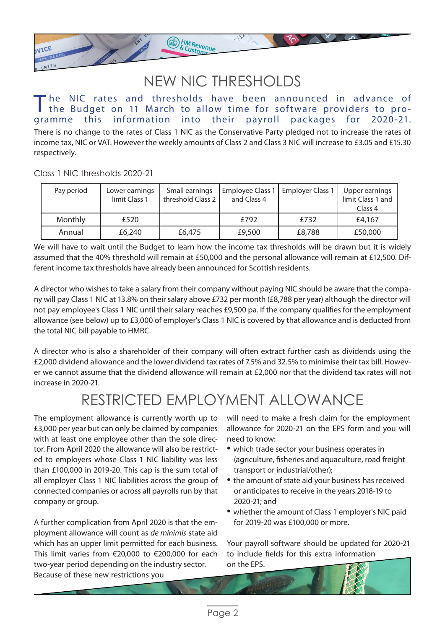### NEW NIC THRESHOLDS

ED HM Revenue

There is no change to the rates of Class 1 NIC as the Conservative Party pledged not to increase the rates of income tax, NIC or VAT. However the weekly amounts of Class 2 and Class 3 NIC will increase to £3.05 and £15.30 respectively. The NIC rates and thresholds have been announced in advance of the Budget on 11 March to allow time for software providers to programme this information into their payroll packages for 2020-21.

Class 1 NIC thresholds 2020-21

VICE

| Pay period     | Lower earnings<br>limit Class 1 | Small earnings<br>threshold Class 2 | Employee Class 1<br>and Class 4 | <b>Employer Class 1</b> | Upper earnings<br>limit Class 1 and<br>Class 4 |
|----------------|---------------------------------|-------------------------------------|---------------------------------|-------------------------|------------------------------------------------|
| <b>Monthly</b> | £520                            |                                     | £792                            | £732                    | £4,167                                         |
| Annual         | £6,240                          | £6,475                              | £9,500                          | £8,788                  | £50,000                                        |

We will have to wait until the Budget to learn how the income tax thresholds will be drawn but it is widely assumed that the 40% threshold will remain at £50,000 and the personal allowance will remain at £12,500. Different income tax thresholds have already been announced for Scottish residents.

A director who wishes to take a salary from their company without paying NIC should be aware that the company will pay Class 1 NIC at 13.8% on their salary above £732 per month (£8,788 per year) although the director will not pay employee's Class 1 NIC until their salary reaches £9,500 pa. If the company qualifies for the employment allowance (see below) up to £3,000 of employer's Class 1 NIC is covered by that allowance and is deducted from the total NIC bill payable to HMRC.

A director who is also a shareholder of their company will often extract further cash as dividends using the £2,000 dividend allowance and the lower dividend tax rates of 7.5% and 32.5% to minimise their tax bill. However we cannot assume that the dividend allowance will remain at £2,000 nor that the dividend tax rates will not increase in 2020-21.

# RESTRICTED EMPLOYMENT ALLOWANCE

The employment allowance is currently worth up to £3,000 per year but can only be claimed by companies with at least one employee other than the sole director. From April 2020 the allowance will also be restricted to employers whose Class 1 NIC liability was less than £100,000 in 2019-20. This cap is the sum total of all employer Class 1 NIC liabilities across the group of connected companies or across all payrolls run by that company or group.

A further complication from April 2020 is that the employment allowance will count as *de minimis* state aid which has an upper limit permitted for each business. This limit varies from €20,000 to €200,000 for each two-year period depending on the industry sector. Because of these new restrictions you

will need to make a fresh claim for the employment allowance for 2020-21 on the EPS form and you will need to know:

- which trade sector your business operates in (agriculture, fisheries and aquaculture, road freight transport or industrial/other);
- the amount of state aid your business has received or anticipates to receive in the years 2018-19 to 2020-21; and
- whether the amount of Class 1 employer's NIC paid for 2019-20 was £100,000 or more.

Your payroll software should be updated for 2020-21 to include fields for this extra information on the EPS.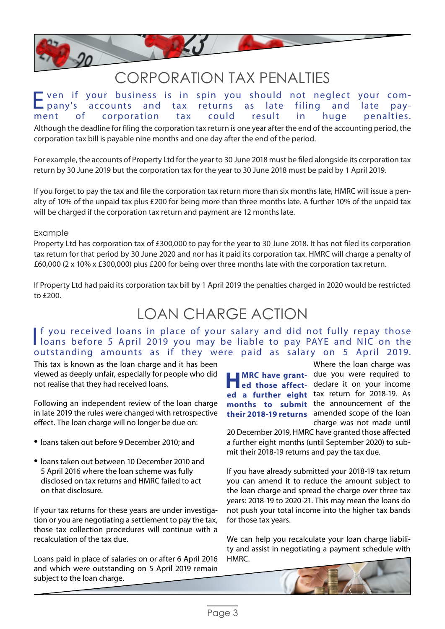

#### CORPORATION TAX PENALTIES

Although the deadline for filing the corporation tax return is one year after the end of the accounting period, the corporation tax bill is payable nine months and one day after the end of the period. Even if your business is in spin you should not neglect your comand tax corporation

For example, the accounts of Property Ltd for the year to 30 June 2018 must be filed alongside its corporation tax return by 30 June 2019 but the corporation tax for the year to 30 June 2018 must be paid by 1 April 2019.

If you forget to pay the tax and file the corporation tax return more than six months late, HMRC will issue a penalty of 10% of the unpaid tax plus £200 for being more than three months late. A further 10% of the unpaid tax will be charged if the corporation tax return and payment are 12 months late.

#### Example

Property Ltd has corporation tax of £300,000 to pay for the year to 30 June 2018. It has not filed its corporation tax return for that period by 30 June 2020 and nor has it paid its corporation tax. HMRC will charge a penalty of £60,000 (2 x 10% x £300,000) plus £200 for being over three months late with the corporation tax return.

If Property Ltd had paid its corporation tax bill by 1 April 2019 the penalties charged in 2020 would be restricted to £200.

## LOAN CHARGE ACTION

#### If you received loans in place of your salary and did not fully repay those<br>Ioans before 5 April 2019 you may be liable to pay PAYE and NIC on the If you received loans in place of your salary and did not fully repay those outstanding amounts as if they were paid as salary on 5 April 2019.

This tax is known as the loan charge and it has been viewed as deeply unfair, especially for people who did not realise that they had received loans.

Following an independent review of the loan charge in late 2019 the rules were changed with retrospective effect. The loan charge will no longer be due on:

- loans taken out before 9 December 2010; and
- loans taken out between 10 December 2010 and 5 April 2016 where the loan scheme was fully disclosed on tax returns and HMRC failed to act on that disclosure.

If your tax returns for these years are under investigation or you are negotiating a settlement to pay the tax, those tax collection procedures will continue with a recalculation of the tax due.

Loans paid in place of salaries on or after 6 April 2016 and which were outstanding on 5 April 2019 remain subject to the loan charge.

Where the loan charge was **HMRC have grant-** due you were required to ed those affect- declare it on your income ed those affect- declare it on your income ed a further eight tax return for 2018-19. As months to submit the announcement of the their 2018-19 returns amended scope of the loan charge was not made until

20 December 2019, HMRC have granted those affected a further eight months (until September 2020) to submit their 2018-19 returns and pay the tax due.

If you have already submitted your 2018-19 tax return you can amend it to reduce the amount subject to the loan charge and spread the charge over three tax years: 2018-19 to 2020-21. This may mean the loans do not push your total income into the higher tax bands for those tax years.

We can help you recalculate your loan charge liability and assist in negotiating a payment schedule with HMRC.